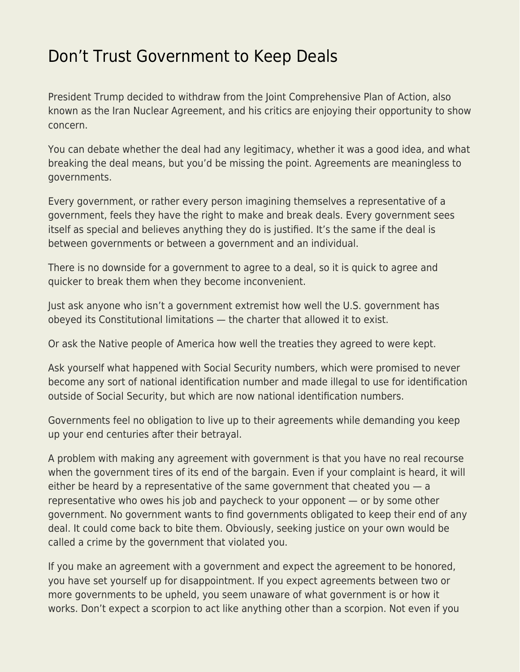## [Don't Trust Government to Keep Deals](https://everything-voluntary.com/dont-trust-government-to-keep-deals)

President Trump decided to withdraw from the Joint Comprehensive Plan of Action, also known as the Iran Nuclear Agreement, and his critics are enjoying their opportunity to show concern.

You can debate whether the deal had any legitimacy, whether it was a good idea, and what breaking the deal means, but you'd be missing the point. Agreements are meaningless to governments.

Every government, or rather every person imagining themselves a representative of a government, feels they have the right to make and break deals. Every government sees itself as special and believes anything they do is justified. It's the same if the deal is between governments or between a government and an individual.

There is no downside for a government to agree to a deal, so it is quick to agree and quicker to break them when they become inconvenient.

Just ask anyone who isn't a government extremist how well the U.S. government has obeyed its Constitutional limitations — the charter that allowed it to exist.

Or ask the Native people of America how well the treaties they agreed to were kept.

Ask yourself what happened with Social Security numbers, which were promised to never become any sort of national identification number and made illegal to use for identification outside of Social Security, but which are now national identification numbers.

Governments feel no obligation to live up to their agreements while demanding you keep up your end centuries after their betrayal.

A problem with making any agreement with government is that you have no real recourse when the government tires of its end of the bargain. Even if your complaint is heard, it will either be heard by a representative of the same government that cheated you  $-$  a representative who owes his job and paycheck to your opponent — or by some other government. No government wants to find governments obligated to keep their end of any deal. It could come back to bite them. Obviously, seeking justice on your own would be called a crime by the government that violated you.

If you make an agreement with a government and expect the agreement to be honored, you have set yourself up for disappointment. If you expect agreements between two or more governments to be upheld, you seem unaware of what government is or how it works. Don't expect a scorpion to act like anything other than a scorpion. Not even if you